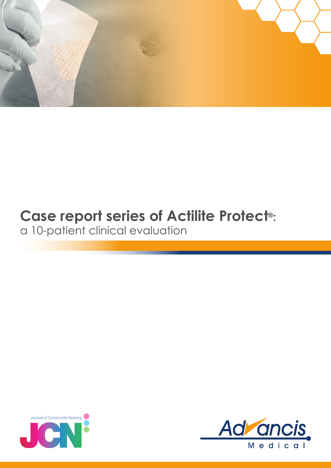

## **Case report series of Actilite Protect®:**

a 10-patient clinical evaluation



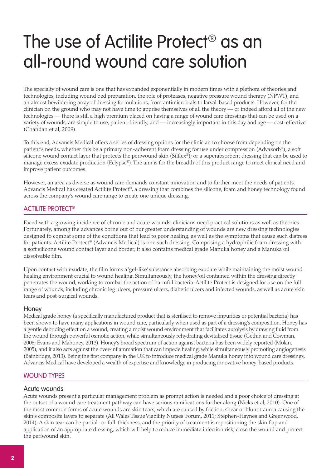# The use of Actilite Protect® as an all-round wound care solution

The specialty of wound care is one that has expanded exponentially in modern times with a plethora of theories and technologies, including wound bed preparation, the role of proteases, negative pressure wound therapy (NPWT), and an almost bewildering array of dressing formulations, from antimicrobials to larval-based products. However, for the clinician on the ground who may not have time to apprise themselves of all the theory — or indeed afford all of the new technologies — there is still a high premium placed on having a range of wound care dressings that can be used on a variety of wounds, are simple to use, patient-friendly, and — increasingly important in this day and age — cost-effective (Chandan et al, 2009).

To this end, Advancis Medical offers a series of dressing options for the clinician to choose from depending on the patient's needs, whether this be a primary non-adherent foam dressing for use under compression (Advazorb®); a soft silicone wound contact layer that protects the periwound skin (Silflex®); or a superabsorbent dressing that can be used to manage excess exudate production (Eclypse®). The aim is for the breadth of this product range to meet clinical need and improve patient outcomes.

However, an area as diverse as wound care demands constant innovation and to further meet the needs of patients, Advancis Medical has created Actilite Protect®, a dressing that combines the silicone, foam and honey technology found across the company's wound care range to create one unique dressing.

## Actilite Protect®

Faced with a growing incidence of chronic and acute wounds, clinicians need practical solutions as well as theories. Fortunately, among the advances borne out of our greater understanding of wounds are new dressing technologies designed to combat some of the conditions that lead to poor healing, as well as the symptoms that cause such distress for patients. Actilite Protect® (Advancis Medical) is one such dressing. Comprising a hydrophilic foam dressing with a soft silicone wound contact layer and border, it also contains medical grade Manuka honey and a Manuka oil dissolvable film.

Upon contact with exudate, the film forms a 'gel-like' substance absorbing exudate while maintaining the moist wound healing environment crucial to wound healing. Simultaneously, the honey/oil contained within the dressing directly penetrates the wound, working to combat the action of harmful bacteria. Actilite Protect is designed for use on the full range of wounds, including chronic leg ulcers, pressure ulcers, diabetic ulcers and infected wounds, as well as acute skin tears and post-surgical wounds.

## Honey

Medical grade honey (a specifically manufactured product that is sterilised to remove impurities or potential bacteria) has been shown to have many applications in wound care, particularly when used as part of a dressing's composition. Honey has a gentle debriding effect on a wound, creating a moist wound environment that facilitates autolysis by drawing fluid from the wound through powerful osmotic action, while simultaneously rehydrating devitalised tissue (Gethin and Cowman, 2008; Evans and Mahoney, 2013). Honey's broad spectrum of action against bacteria has been widely reported (Molan, 2005), and it also acts against the over-inflammation that can impede healing, while simultaneously promoting angiogenesis (Bainbridge, 2013). Being the first company in the UK to introduce medical grade Manuka honey into wound care dressings, Advancis Medical have developed a wealth of expertise and knowledge in producing innovative honey-based products.

## WOUND TYPES

#### Acute wounds

Acute wounds present a particular management problem as prompt action is needed and a poor choice of dressing at the outset of a wound care treatment pathway can have serious ramifications further along (Nicks et al, 2010). One of the most common forms of acute wounds are skin tears, which are caused by friction, shear or blunt trauma causing the skin's composite layers to separate (All Wales Tissue Viability Nurses' Forum, 2011; Stephen-Haynes and Greenwood, 2014). A skin tear can be partial- or full-thickness, and the priority of treatment is repositioning the skin flap and application of an appropriate dressing, which will help to reduce immediate infection risk, close the wound and protect the periwound skin.